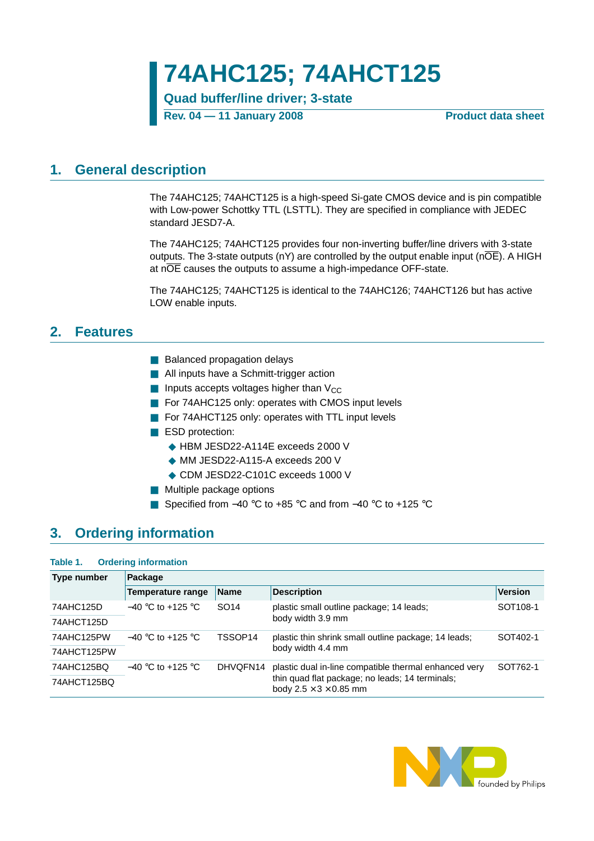**74AHC125; 74AHCT125**

**Quad buffer/line driver; 3-state Rev. 04 — 11 January 2008** Product data sheet

## <span id="page-0-1"></span>**1. General description**

The 74AHC125; 74AHCT125 is a high-speed Si-gate CMOS device and is pin compatible with Low-power Schottky TTL (LSTTL). They are specified in compliance with JEDEC standard JESD7-A.

The 74AHC125; 74AHCT125 provides four non-inverting buffer/line drivers with 3-state outputs. The 3-state outputs (nY) are controlled by the output enable input ( $n\overline{OE}$ ). A HIGH at  $n\overline{OE}$  causes the outputs to assume a high-impedance OFF-state.

The 74AHC125; 74AHCT125 is identical to the 74AHC126; 74AHCT126 but has active LOW enable inputs.

## <span id="page-0-2"></span>**2. Features**

- Balanced propagation delays
- All inputs have a Schmitt-trigger action
- **■** Inputs accepts voltages higher than  $V_{CC}$
- For 74AHC125 only: operates with CMOS input levels
- For 74AHCT125 only: operates with TTL input levels
- ESD protection:
	- ◆ HBM JESD22-A114E exceeds 2000 V
	- ◆ MM JESD22-A115-A exceeds 200 V
	- ◆ CDM JESD22-C101C exceeds 1000 V
- Multiple package options
- Specified from –40 °C to +85 °C and from –40 °C to +125 °C

## <span id="page-0-0"></span>**3. Ordering information**

### **Table 1. Ordering information**

| Type number | Package                                 |                     |                                                                                       |                      |  |  |  |  |  |  |
|-------------|-----------------------------------------|---------------------|---------------------------------------------------------------------------------------|----------------------|--|--|--|--|--|--|
|             | Temperature range                       | <b>Name</b>         | <b>Description</b>                                                                    | <b>Version</b>       |  |  |  |  |  |  |
| 74AHC125D   | $-40$ °C to +125 °C<br>SO <sub>14</sub> |                     | plastic small outline package; 14 leads;                                              | SOT <sub>108-1</sub> |  |  |  |  |  |  |
| 74AHCT125D  |                                         |                     | body width 3.9 mm                                                                     |                      |  |  |  |  |  |  |
| 74AHC125PW  | $-40$ °C to +125 °C.                    | TSSOP <sub>14</sub> | plastic thin shrink small outline package; 14 leads;                                  | SOT402-1             |  |  |  |  |  |  |
| 74AHCT125PW |                                         |                     | body width 4.4 mm                                                                     |                      |  |  |  |  |  |  |
| 74AHC125BQ  | $-40$ °C to +125 °C                     | DHVOFN14            | plastic dual in-line compatible thermal enhanced very                                 | SOT762-1             |  |  |  |  |  |  |
| 74AHCT125BQ |                                         |                     | thin quad flat package; no leads; 14 terminals;<br>body $2.5 \times 3 \times 0.85$ mm |                      |  |  |  |  |  |  |

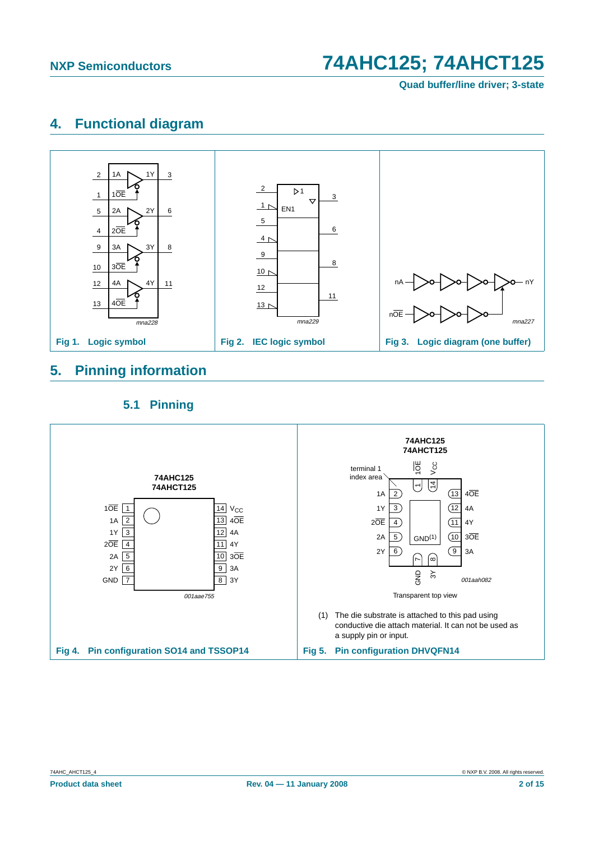# <span id="page-1-0"></span>**4. Functional diagram**



## <span id="page-1-1"></span>**5. Pinning information**

## **5.1 Pinning**

<span id="page-1-2"></span>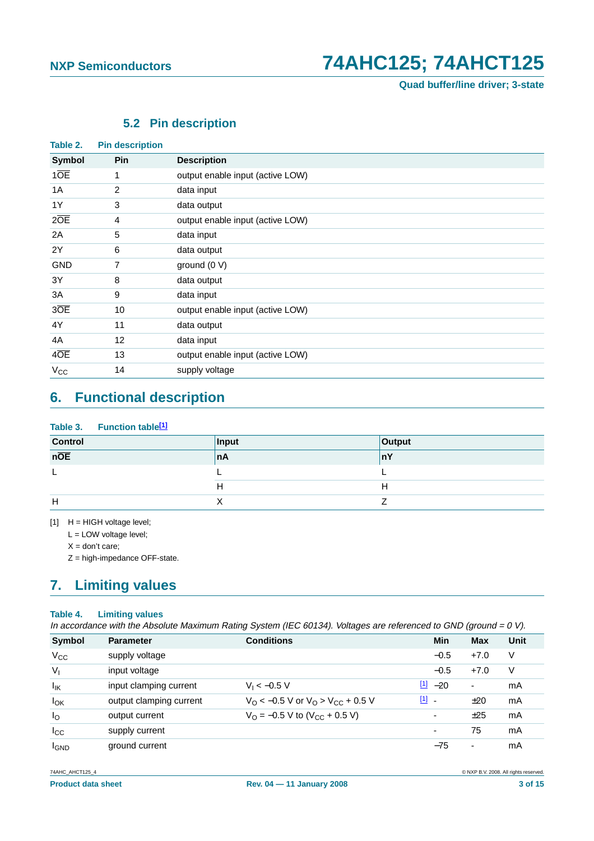## **5.2 Pin description**

<span id="page-2-2"></span>

| Table 2.         | <b>Pin description</b> |                                  |
|------------------|------------------------|----------------------------------|
| Symbol           | <b>Pin</b>             | <b>Description</b>               |
| 10E              | 1                      | output enable input (active LOW) |
| 1A               | 2                      | data input                       |
| 1Y               | 3                      | data output                      |
| $2\overline{OE}$ | 4                      | output enable input (active LOW) |
| 2A               | 5                      | data input                       |
| 2Y               | 6                      | data output                      |
| <b>GND</b>       | 7                      | ground (0 V)                     |
| 3Y               | 8                      | data output                      |
| 3A               | 9                      | data input                       |
| 3OE              | 10                     | output enable input (active LOW) |
| 4Y               | 11                     | data output                      |
| 4A               | 12                     | data input                       |
| $4\overline{OE}$ | 13                     | output enable input (active LOW) |
| $V_{CC}$         | 14                     | supply voltage                   |

# <span id="page-2-3"></span>**6. Functional description**

### **Table 3. Function table[\[1\]](#page-2-0)**

| $\frac{\text{Control}}{\text{n}\overline{\text{OE}}}$ | Input | Output |
|-------------------------------------------------------|-------|--------|
|                                                       | ∣nA   | ۱nΥ    |
|                                                       |       |        |
|                                                       | н     | H      |
| H                                                     |       |        |

<span id="page-2-0"></span> $[1]$  H = HIGH voltage level;

L = LOW voltage level;

 $X =$  don't care;

Z = high-impedance OFF-state.

# <span id="page-2-1"></span>**7. Limiting values**

### **Table 4. Limiting values**

In accordance with the Absolute Maximum Rating System (IEC 60134). Voltages are referenced to GND (ground =  $0 V$ ).

| Min<br>Symbol<br><b>Conditions</b><br><b>Max</b><br>Unit<br><b>Parameter</b><br>V<br>$V_{\rm CC}$<br>$-0.5$<br>$+7.0$<br>supply voltage<br>V <sub>1</sub><br>V<br>$-0.5$<br>input voltage<br>$+7.0$<br>$\begin{bmatrix} 1 \\ 2 \end{bmatrix}$ -20<br>$I_{IK}$<br>input clamping current<br>mA<br>$V_1 < -0.5 V$<br>٠<br>$11 -$<br>$V_{\rm O}$ < -0.5 V or $V_{\rm O}$ > V <sub>CC</sub> + 0.5 V<br>$I_{OK}$<br>output clamping current<br>±20<br>mA<br>$I_{\rm O}$<br>$V_{\rm O}$ = -0.5 V to (V <sub>CC</sub> + 0.5 V)<br>±25<br>mA<br>output current<br>$I_{\rm CC}$<br>75<br>mA<br>supply current<br>$\overline{\phantom{a}}$<br>mA<br>ground current<br>$-75$<br><b>IGND</b><br>٠ |  |  |  |
|---------------------------------------------------------------------------------------------------------------------------------------------------------------------------------------------------------------------------------------------------------------------------------------------------------------------------------------------------------------------------------------------------------------------------------------------------------------------------------------------------------------------------------------------------------------------------------------------------------------------------------------------------------------------------------------|--|--|--|
|                                                                                                                                                                                                                                                                                                                                                                                                                                                                                                                                                                                                                                                                                       |  |  |  |
|                                                                                                                                                                                                                                                                                                                                                                                                                                                                                                                                                                                                                                                                                       |  |  |  |
|                                                                                                                                                                                                                                                                                                                                                                                                                                                                                                                                                                                                                                                                                       |  |  |  |
|                                                                                                                                                                                                                                                                                                                                                                                                                                                                                                                                                                                                                                                                                       |  |  |  |
|                                                                                                                                                                                                                                                                                                                                                                                                                                                                                                                                                                                                                                                                                       |  |  |  |
|                                                                                                                                                                                                                                                                                                                                                                                                                                                                                                                                                                                                                                                                                       |  |  |  |
|                                                                                                                                                                                                                                                                                                                                                                                                                                                                                                                                                                                                                                                                                       |  |  |  |
|                                                                                                                                                                                                                                                                                                                                                                                                                                                                                                                                                                                                                                                                                       |  |  |  |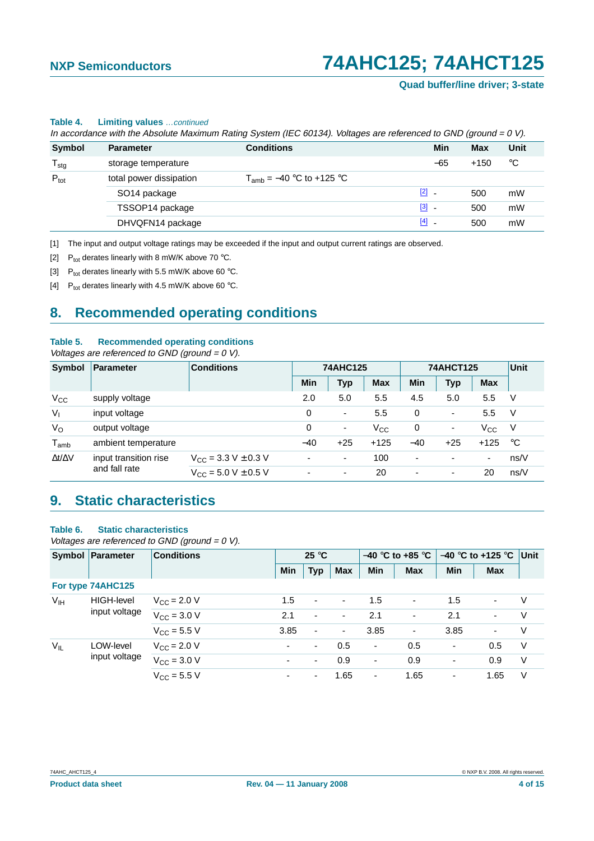#### **Table 4. Limiting values** …continued

In accordance with the Absolute Maximum Rating System (IEC 60134). Voltages are referenced to GND (ground =  $0 V$ ).

| <b>Symbol</b>    | <b>Parameter</b>         | <b>Conditions</b>             | Min                                     | Max    | Unit |
|------------------|--------------------------|-------------------------------|-----------------------------------------|--------|------|
| $T_{\text{stg}}$ | storage temperature      |                               | $-65$                                   | $+150$ | ℃    |
| $P_{\text{tot}}$ | total power dissipation  | $T_{amb} = -40$ °C to +125 °C |                                         |        |      |
|                  | SO <sub>14</sub> package |                               | [2]<br>$\overline{\phantom{a}}$         | 500    | mW   |
|                  | TSSOP14 package          |                               | $\boxed{3}$<br>$\overline{\phantom{a}}$ | 500    | mW   |
|                  | DHVQFN14 package         |                               | $[4]$ $-$                               | 500    | mW   |

<span id="page-3-0"></span>[1] The input and output voltage ratings may be exceeded if the input and output current ratings are observed.

<span id="page-3-1"></span>[2]  $P_{tot}$  derates linearly with 8 mW/K above 70 °C.

<span id="page-3-2"></span>[3] P<sub>tot</sub> derates linearly with 5.5 mW/K above 60 °C.

<span id="page-3-3"></span>[4] P<sub>tot</sub> derates linearly with 4.5 mW/K above 60 °C.

# <span id="page-3-4"></span>**8. Recommended operating conditions**

#### **Table 5. Recommended operating conditions**

Voltages are referenced to GND (ground =  $0$  V).

| Symbol              | Parameter             | <b>Conditions</b>                                 |                          | <b>74AHC125</b>          |            | <b>74AHCT125</b>         |       |              | <b>Unit</b> |
|---------------------|-----------------------|---------------------------------------------------|--------------------------|--------------------------|------------|--------------------------|-------|--------------|-------------|
|                     |                       |                                                   | Min                      | <b>Typ</b>               | <b>Max</b> | Min                      | Typ   | <b>Max</b>   |             |
| $V_{CC}$            | supply voltage        |                                                   | 2.0                      | 5.0                      | 5.5        | 4.5                      | 5.0   | 5.5          | - V         |
| $V_{I}$             | input voltage         |                                                   | 0                        | $\overline{\phantom{a}}$ | 5.5        | 0                        | ٠     | 5.5          | - V         |
| $V_{\rm O}$         | output voltage        |                                                   | $\mathbf 0$              | $\overline{\phantom{a}}$ | $V_{CC}$   | 0                        | ۰     | $V_{\rm CC}$ | -V          |
| $T_{amb}$           | ambient temperature   |                                                   | $-40$                    | $+25$                    | $+125$     | $-40$                    | $+25$ | $+125$       | °C          |
| $\Delta t/\Delta V$ | input transition rise | $V_{\text{CC}} = 3.3 \text{ V} \pm 0.3 \text{ V}$ | $\overline{\phantom{0}}$ | $\overline{\phantom{a}}$ | 100        | $\overline{\phantom{a}}$ |       | ٠            | ns/V        |
|                     | and fall rate         | $V_{CC}$ = 5.0 V $\pm$ 0.5 V                      | ٠                        | $\overline{\phantom{a}}$ | 20         | ٠                        | ۰     | 20           | ns/V        |

# <span id="page-3-5"></span>**9. Static characteristics**

### **Table 6. Static characteristics**

Voltages are referenced to GND (ground =  $0$  V).

| Symbol          | Parameter                          | <b>Conditions</b>       | $25^{\circ}$ C |                          |                          |                | $-40$ °C to +85 °C       | $-40$ °C to +125 °C      |            | Unit |
|-----------------|------------------------------------|-------------------------|----------------|--------------------------|--------------------------|----------------|--------------------------|--------------------------|------------|------|
|                 |                                    |                         | Min            | <b>Typ</b>               | Max                      | Min            | <b>Max</b>               | <b>Min</b>               | <b>Max</b> |      |
|                 | For type 74AHC125                  |                         |                |                          |                          |                |                          |                          |            |      |
| V <sub>IH</sub> | <b>HIGH-level</b><br>input voltage | $V_{\text{C}C} = 2.0 V$ | 1.5            | $\overline{\phantom{a}}$ | $\overline{\phantom{a}}$ | 1.5            | $\overline{\phantom{a}}$ | 1.5                      | ٠          | V    |
|                 |                                    | $V_{CC}$ = 3.0 V        | 2.1            | $\overline{\phantom{a}}$ | $\overline{\phantom{a}}$ | 2.1            | -                        | 2.1                      | ٠          | V    |
|                 |                                    | $V_{CC}$ = 5.5 V        | 3.85           | $\overline{\phantom{a}}$ | $\overline{\phantom{a}}$ | 3.85           | -                        | 3.85                     | ٠          | V    |
| $V_{IL}$        | LOW-level                          | $V_{\rm CC}$ = 2.0 V    | ٠              | $\blacksquare$           | 0.5                      | $\blacksquare$ | 0.5                      | $\overline{\phantom{a}}$ | 0.5        | V    |
|                 | input voltage                      | $V_{CC}$ = 3.0 V        | ٠              | $\blacksquare$           | 0.9                      | $\blacksquare$ | 0.9                      | ٠                        | 0.9        | V    |
|                 |                                    | $V_{CC}$ = 5.5 V        | ۰              | ۰.                       | 1.65                     | ٠              | 1.65                     | ٠                        | 1.65       | V    |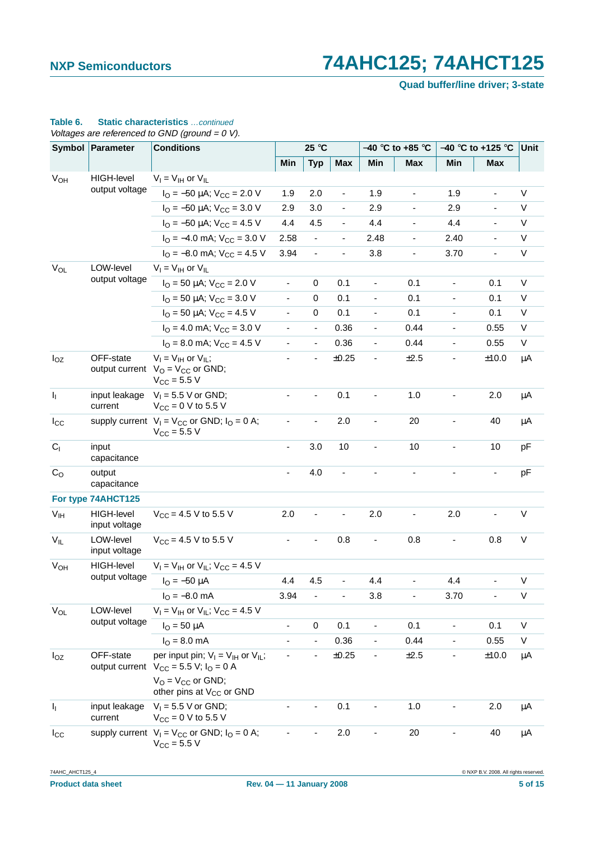### **Table 6. Static characteristics** …continued

Voltages are referenced to GND (ground  $= 0$  V).

| <b>Symbol</b><br><b>Parameter</b> |                             | <b>Conditions</b>                                                                                        |                              | 25 °C                    |                              | $-40$ °C to +85 °C           |                | –40 °C to +125 °C        |                          | <b>Unit</b> |
|-----------------------------------|-----------------------------|----------------------------------------------------------------------------------------------------------|------------------------------|--------------------------|------------------------------|------------------------------|----------------|--------------------------|--------------------------|-------------|
|                                   |                             |                                                                                                          | Min                          | <b>Typ</b>               | <b>Max</b>                   | Min                          | <b>Max</b>     | Min                      | <b>Max</b>               |             |
| $V_{OH}$                          | <b>HIGH-level</b>           | $V_I = V_{IH}$ or $V_{IL}$                                                                               |                              |                          |                              |                              |                |                          |                          |             |
|                                   | output voltage              | $I_{\text{O}} = -50 \mu\text{A}$ ; $V_{\text{CC}} = 2.0 \text{ V}$                                       | 1.9                          | 2.0                      | $\overline{\phantom{0}}$     | 1.9                          | $\blacksquare$ | 1.9                      | $\blacksquare$           | $\vee$      |
|                                   |                             | $I_{\text{O}} = -50 \mu\text{A}$ ; $V_{\text{CC}} = 3.0 \text{ V}$                                       | 2.9                          | 3.0                      | $\frac{1}{2}$                | 2.9                          | $\frac{1}{2}$  | 2.9                      | ÷,                       | V           |
|                                   |                             | $I_{\text{O}} = -50 \mu\text{A}$ ; $V_{\text{CC}} = 4.5 \text{ V}$                                       | 4.4                          | 4.5                      | $\blacksquare$               | 4.4                          | $\blacksquare$ | 4.4                      | $\blacksquare$           | $\vee$      |
|                                   |                             | $I_{\Omega} = -4.0$ mA; $V_{\text{CC}} = 3.0$ V                                                          | 2.58                         | $\blacksquare$           | $\blacksquare$               | 2.48                         | $\blacksquare$ | 2.40                     | $\overline{\phantom{a}}$ | V           |
|                                   |                             | $I_{\Omega}$ = -8.0 mA; $V_{\text{CC}}$ = 4.5 V                                                          | 3.94                         | $\blacksquare$           | $\blacksquare$               | 3.8                          | $\blacksquare$ | 3.70                     | $\overline{\phantom{a}}$ | $\mathsf V$ |
| $V_{OL}$                          | LOW-level                   | $V_I = V_{IH}$ or $V_{IL}$                                                                               |                              |                          |                              |                              |                |                          |                          |             |
|                                   | output voltage              | $I_{\text{O}}$ = 50 µA; $V_{\text{CC}}$ = 2.0 V                                                          | $\blacksquare$               | 0                        | 0.1                          | $\blacksquare$               | 0.1            | $\blacksquare$           | 0.1                      | V           |
|                                   |                             | $I_{\text{O}}$ = 50 µA; $V_{\text{CC}}$ = 3.0 V                                                          | $\blacksquare$               | 0                        | 0.1                          | $\blacksquare$               | 0.1            | $\blacksquare$           | 0.1                      | $\vee$      |
|                                   |                             | $I_{\text{O}}$ = 50 µA; $V_{\text{CC}}$ = 4.5 V                                                          | $\overline{\phantom{a}}$     | 0                        | 0.1                          | $\overline{\phantom{a}}$     | 0.1            | -                        | 0.1                      | $\vee$      |
|                                   |                             | $I_{\text{O}}$ = 4.0 mA; $V_{\text{CC}}$ = 3.0 V                                                         | $\blacksquare$               | $\blacksquare$           | 0.36                         | ÷,                           | 0.44           | $\blacksquare$           | 0.55                     | $\vee$      |
|                                   |                             | $I_{\Omega}$ = 8.0 mA; $V_{\text{CC}}$ = 4.5 V                                                           | $\blacksquare$               | $\overline{\phantom{a}}$ | 0.36                         | $\overline{\phantom{a}}$     | 0.44           | $\overline{\phantom{0}}$ | 0.55                     | V           |
| $I_{OZ}$                          | OFF-state                   | $V_I = V_{IH}$ or $V_{IL}$ ;<br>output current $V_O = V_{CC}$ or GND;<br>$V_{CC}$ = 5.5 V                |                              | $\blacksquare$           | ±0.25                        | $\blacksquare$               | ±2.5           | $\overline{\phantom{0}}$ | ±10.0                    | μA          |
| h                                 | input leakage<br>current    | $V_1 = 5.5$ V or GND;<br>$V_{CC} = 0 V$ to 5.5 V                                                         |                              |                          | 0.1                          |                              | 1.0            |                          | 2.0                      | μA          |
| $I_{\rm CC}$                      |                             | supply current $V_1 = V_{CC}$ or GND; $I_0 = 0$ A;<br>$V_{CC} = 5.5 V$                                   |                              |                          | 2.0                          |                              | 20             |                          | 40                       | μA          |
| C <sub>1</sub>                    | input<br>capacitance        |                                                                                                          | $\blacksquare$               | 3.0                      | $10$                         | $\blacksquare$               | 10             | ä,                       | 10                       | pF          |
| C <sub>O</sub>                    | output<br>capacitance       |                                                                                                          | $\blacksquare$               | 4.0                      |                              |                              |                |                          |                          | pF          |
|                                   | For type 74AHCT125          |                                                                                                          |                              |                          |                              |                              |                |                          |                          |             |
| V <sub>IH</sub>                   | HIGH-level<br>input voltage | $V_{CC}$ = 4.5 V to 5.5 V                                                                                | 2.0                          | $\overline{a}$           | ä,                           | 2.0                          |                | 2.0                      |                          | $\vee$      |
| $V_{IL}$                          | LOW-level<br>input voltage  | $V_{CC}$ = 4.5 V to 5.5 V                                                                                |                              |                          | 0.8                          | ٠                            | 0.8            |                          | 0.8                      | V           |
| V <sub>OH</sub>                   | <b>HIGH-level</b>           | $V_1 = V_{1H}$ or $V_{1L}$ ; $V_{CC} = 4.5$ V                                                            |                              |                          |                              |                              |                |                          |                          |             |
|                                   | output voltage              | $I_{O} = -50 \mu A$                                                                                      | 4.4                          | 4.5                      | $\qquad \qquad \blacksquare$ | 4.4                          |                | 4.4                      | ä,                       | $\sf V$     |
|                                   |                             | $I_{\Omega} = -8.0$ mA                                                                                   | 3.94                         |                          |                              | 3.8                          | ٠              | 3.70                     |                          | V           |
| $V_{OL}$                          | LOW-level                   | $V_I = V_{IH}$ or $V_{IL}$ ; $V_{CC} = 4.5$ V                                                            |                              |                          |                              |                              |                |                          |                          |             |
|                                   | output voltage              | $I_{\rm O} = 50 \mu A$                                                                                   | $\qquad \qquad \blacksquare$ | 0                        | 0.1                          | $\overline{\phantom{a}}$     | 0.1            | $\overline{\phantom{0}}$ | 0.1                      | V           |
|                                   |                             | $I_{\rm O} = 8.0 \text{ mA}$                                                                             | $\overline{\phantom{0}}$     | $\overline{\phantom{a}}$ | 0.36                         | $\qquad \qquad \blacksquare$ | 0.44           | $\overline{\phantom{0}}$ | 0.55                     | V           |
| $I_{OZ}$                          | OFF-state<br>output current | per input pin; $V_1 = V_{1H}$ or $V_{1L}$ ;<br>$V_{CC}$ = 5.5 V; $I_{O}$ = 0 A<br>$V_O = V_{CC}$ or GND; |                              |                          | $\pm 0.25$                   | $\overline{\phantom{a}}$     | $\pm 2.5$      | $\overline{\phantom{0}}$ | $\pm 10.0$               | μA          |
| ı,                                | input leakage<br>current    | other pins at V <sub>CC</sub> or GND<br>$V_1 = 5.5 V$ or GND;<br>$V_{CC} = 0 V$ to 5.5 V                 |                              |                          | 0.1                          |                              | 1.0            |                          | 2.0                      | μA          |
| $I_{\rm CC}$                      |                             | supply current $V_1 = V_{CC}$ or GND; $I_0 = 0$ A;<br>$V_{CC}$ = 5.5 V                                   |                              |                          | 2.0                          |                              | 20             |                          | 40                       | μA          |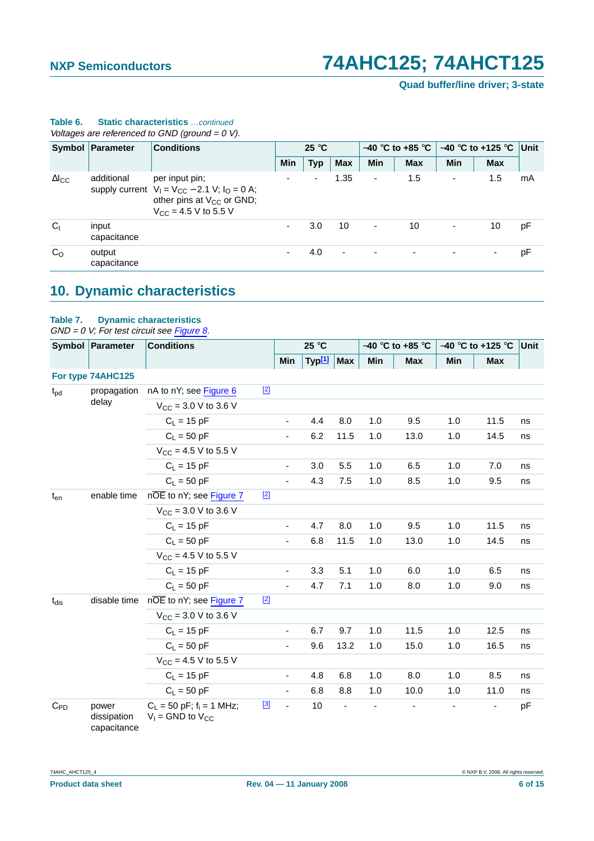### **Table 6. Static characteristics** …continued

Voltages are referenced to GND (ground =  $0$  V).

|                        | Symbol Parameter      | <b>Conditions</b>                                                                                                                        |     | $25^{\circ}$ C |                          |                          | $-40$ °C to +85 °C | $-40$ °C to +125 °C Unit |            |    |
|------------------------|-----------------------|------------------------------------------------------------------------------------------------------------------------------------------|-----|----------------|--------------------------|--------------------------|--------------------|--------------------------|------------|----|
|                        |                       |                                                                                                                                          | Min | <b>Typ</b>     | <b>Max</b>               | Min                      | <b>Max</b>         | Min                      | <b>Max</b> |    |
| $\Delta I_{\text{CC}}$ | additional            | per input pin;<br>supply current $V_1 = V_{CC} - 2.1$ V; $I_0 = 0$ A;<br>other pins at $V_{CC}$ or GND;<br>$V_{\rm CC}$ = 4.5 V to 5.5 V |     | $\blacksquare$ | 1.35                     | $\overline{\phantom{a}}$ | 1.5                | $\overline{\phantom{a}}$ | 1.5        | mA |
| C <sub>1</sub>         | input<br>capacitance  |                                                                                                                                          |     | 3.0            | 10                       | $\blacksquare$           | 10                 |                          | 10         | pF |
| C <sub>O</sub>         | output<br>capacitance |                                                                                                                                          |     | 4.0            | $\overline{\phantom{a}}$ | $\blacksquare$           |                    |                          | ۰          | pF |

# <span id="page-5-0"></span>**10. Dynamic characteristics**

### **Table 7. Dynamic characteristics**

 $GND = 0$  V; For test circuit see [Figure](#page-8-0) 8.

|           | Symbol Parameter                    | <b>Conditions</b>                                        |       | 25 °C                    |                    |                | –40 °C to +85 °C | $-40$ °C to +125 °C |     | Unit       |    |
|-----------|-------------------------------------|----------------------------------------------------------|-------|--------------------------|--------------------|----------------|------------------|---------------------|-----|------------|----|
|           |                                     |                                                          |       | Min                      | Typ <sup>[1]</sup> | <b>Max</b>     | Min              | <b>Max</b>          | Min | <b>Max</b> |    |
|           | For type 74AHC125                   |                                                          |       |                          |                    |                |                  |                     |     |            |    |
| $t_{pd}$  | propagation                         | nA to nY; see Figure 6                                   | $[2]$ |                          |                    |                |                  |                     |     |            |    |
|           | delay                               | $V_{CC}$ = 3.0 V to 3.6 V                                |       |                          |                    |                |                  |                     |     |            |    |
|           |                                     | $C_1 = 15 pF$                                            |       | $\overline{\phantom{a}}$ | 4.4                | 8.0            | 1.0              | 9.5                 | 1.0 | 11.5       | ns |
|           |                                     | $C_1 = 50 pF$                                            |       | $\blacksquare$           | 6.2                | 11.5           | 1.0              | 13.0                | 1.0 | 14.5       | ns |
|           |                                     | $V_{CC}$ = 4.5 V to 5.5 V                                |       |                          |                    |                |                  |                     |     |            |    |
|           |                                     | $C_1 = 15 pF$                                            |       | $\overline{\phantom{a}}$ | 3.0                | 5.5            | 1.0              | 6.5                 | 1.0 | 7.0        | ns |
|           |                                     | $C_1 = 50 pF$                                            |       | $\blacksquare$           | 4.3                | 7.5            | 1.0              | 8.5                 | 1.0 | 9.5        | ns |
| $t_{en}$  | enable time                         | nOE to nY; see Figure 7                                  | $[2]$ |                          |                    |                |                  |                     |     |            |    |
|           |                                     | $V_{CC}$ = 3.0 V to 3.6 V                                |       |                          |                    |                |                  |                     |     |            |    |
|           |                                     | $C_1 = 15 pF$                                            |       | $\overline{\phantom{a}}$ | 4.7                | 8.0            | 1.0              | 9.5                 | 1.0 | 11.5       | ns |
|           |                                     | $C_1 = 50$ pF                                            |       | $\overline{\phantom{a}}$ | 6.8                | 11.5           | 1.0              | 13.0                | 1.0 | 14.5       | ns |
|           |                                     | $V_{CC}$ = 4.5 V to 5.5 V                                |       |                          |                    |                |                  |                     |     |            |    |
|           |                                     | $C_1 = 15 pF$                                            |       | $\overline{\phantom{a}}$ | 3.3                | 5.1            | 1.0              | 6.0                 | 1.0 | 6.5        | ns |
|           |                                     | $C_1 = 50 pF$                                            |       | $\blacksquare$           | 4.7                | 7.1            | 1.0              | 8.0                 | 1.0 | 9.0        | ns |
| $t_{dis}$ | disable time                        | nOE to nY; see Figure 7                                  | $[2]$ |                          |                    |                |                  |                     |     |            |    |
|           |                                     | $V_{CC}$ = 3.0 V to 3.6 V                                |       |                          |                    |                |                  |                     |     |            |    |
|           |                                     | $C_1 = 15 pF$                                            |       | $\overline{\phantom{a}}$ | 6.7                | 9.7            | 1.0              | 11.5                | 1.0 | 12.5       | ns |
|           |                                     | $C_1 = 50$ pF                                            |       | $\blacksquare$           | 9.6                | 13.2           | 1.0              | 15.0                | 1.0 | 16.5       | ns |
|           |                                     | $V_{CC}$ = 4.5 V to 5.5 V                                |       |                          |                    |                |                  |                     |     |            |    |
|           |                                     | $C_L$ = 15 pF                                            |       | $\overline{\phantom{a}}$ | 4.8                | 6.8            | 1.0              | 8.0                 | 1.0 | 8.5        | ns |
|           |                                     | $C_1 = 50 pF$                                            |       | $\blacksquare$           | 6.8                | 8.8            | 1.0              | 10.0                | 1.0 | 11.0       | ns |
| $C_{PD}$  | power<br>dissipation<br>capacitance | $C_L$ = 50 pF; $f_i$ = 1 MHz;<br>$V_1$ = GND to $V_{CC}$ | $[3]$ | $\overline{\phantom{a}}$ | 10                 | $\blacksquare$ | $\frac{1}{2}$    |                     |     |            | pF |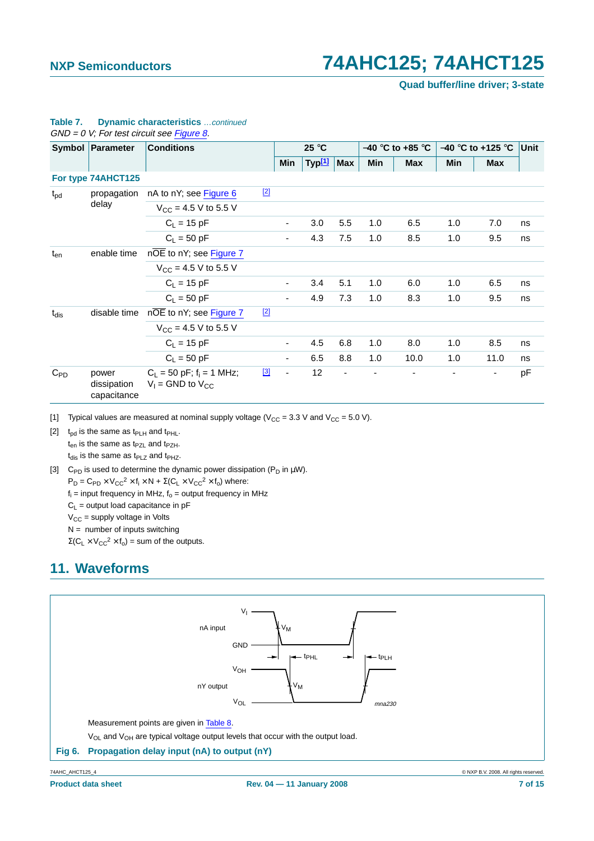#### **Table 7. Dynamic characteristics** …continued

**For type 74AHCT125**  $t_{\text{pd}}$  propagation delay nA to nY; see [Figure](#page-6-1)  $6$  [\[2\]](#page-6-2)  $V_{CC}$  = 4.5 V to 5.5 V  $C_1 = 15 \text{ pF}$  - 3.0 5.5 1.0 6.5 1.0 7.0 ns  $C_L$  = 50 pF - 4.3 7.5 1.0 8.5 1.0 9.5 ns  $t_{en}$  enable time nOE to nY; see [Figure](#page-7-0) 7  $V_{CC} = 4.5 V$  to 5.5 V  $C_L = 15 \text{ pF}$  - 3.4 5.1 1.0 6.0 1.0 6.5 ns  $C_1 = 50 \text{ pF}$  - 4.9 7.3 1.0 8.3 1.0 9.5 ns  $t_{\text{dis}}$  disable time nOE to nY; see [Figure](#page-7-0) 7 [\[2\]](#page-6-2)  $V_{CC}$  = 4.5 V to 5.5 V  $C_1 = 15 \text{ pF}$  - 4.5 6.8 1.0 8.0 1.0 8.5 ns  $C_1 = 50 \text{ pF}$  - 6.5 8.8 1.0 10.0 1.0 11.0 ns C<sub>PD</sub> power dissipation capacitance  $C_L$  = 50 pF; f<sub>i</sub> = 1 MHz;  $V_1$  = GND to  $V_{CC}$ <u>[\[3\]](#page-6-3)</u> - 12 - - - - - - - - pF  $GND = 0$  V; For test circuit see Figure 8. **Symbol Parameter Conditions 25** °**C** −**40** °**C to +85** °**C** −**40** °**C to +125** °**C Unit Min Typ[1] Max Min Max Min Max**

<span id="page-6-0"></span>[1] Typical values are measured at nominal supply voltage ( $V_{CC} = 3.3$  V and  $V_{CC} = 5.0$  V).

<span id="page-6-2"></span>[2]  $t_{\text{pd}}$  is the same as  $t_{\text{PLH}}$  and  $t_{\text{PHL}}$ .  $t_{en}$  is the same as  $t_{PZL}$  and  $t_{PZH}$ .

 $t_{dis}$  is the same as  $t_{PLZ}$  and  $t_{PHZ}$ .

<span id="page-6-3"></span>[3] C<sub>PD</sub> is used to determine the dynamic power dissipation (P<sub>D</sub> in  $\mu$ W).

 $P_D = C_{PD} \times V_{CC}^2 \times f_i \times N + \Sigma (C_L \times V_{CC}^2 \times f_o)$  where:

 $f_i$  = input frequency in MHz,  $f_0$  = output frequency in MHz

 $C_L$  = output load capacitance in pF

 $V_{CC}$  = supply voltage in Volts

 $N =$  number of inputs switching

 $\Sigma(C_L \times V_{CC}^2 \times f_0)$  = sum of the outputs.

# <span id="page-6-4"></span>**11. Waveforms**



<span id="page-6-1"></span>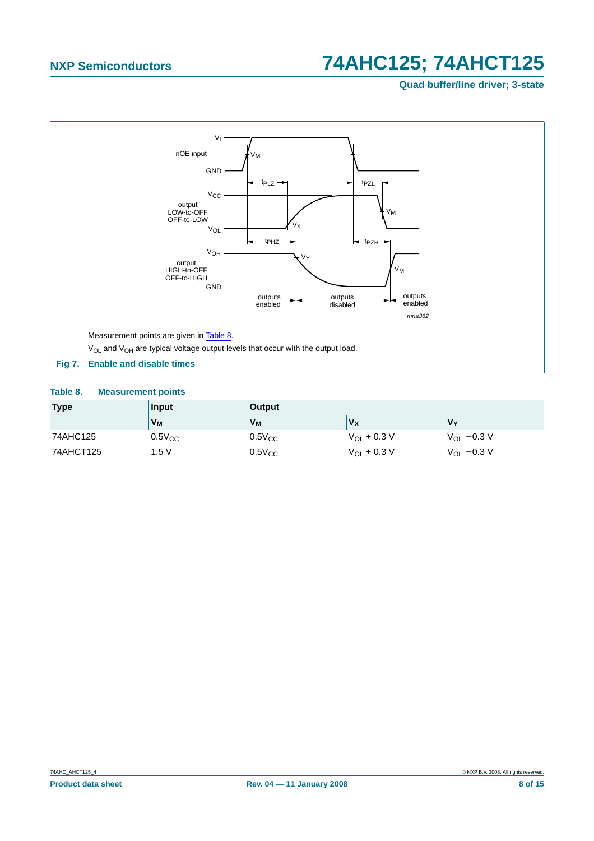**Quad buffer/line driver; 3-state**



### <span id="page-7-1"></span><span id="page-7-0"></span>**Table 8. Measurement points**

| <b>Type</b> | Input          | <b>Output</b>  |                  |                  |  |  |  |  |
|-------------|----------------|----------------|------------------|------------------|--|--|--|--|
|             | V <sub>M</sub> | V <sub>M</sub> | Vx               | $V_{\mathbf{v}}$ |  |  |  |  |
| 74AHC125    | $0.5V_{CC}$    | $0.5V_{CC}$    | $V_{OL}$ + 0.3 V | $V_{OL}$ – 0.3 V |  |  |  |  |
| 74AHCT125   | 1.5 V          | $0.5V_{CC}$    | $V_{OL}$ + 0.3 V | $V_{OL}$ – 0.3 V |  |  |  |  |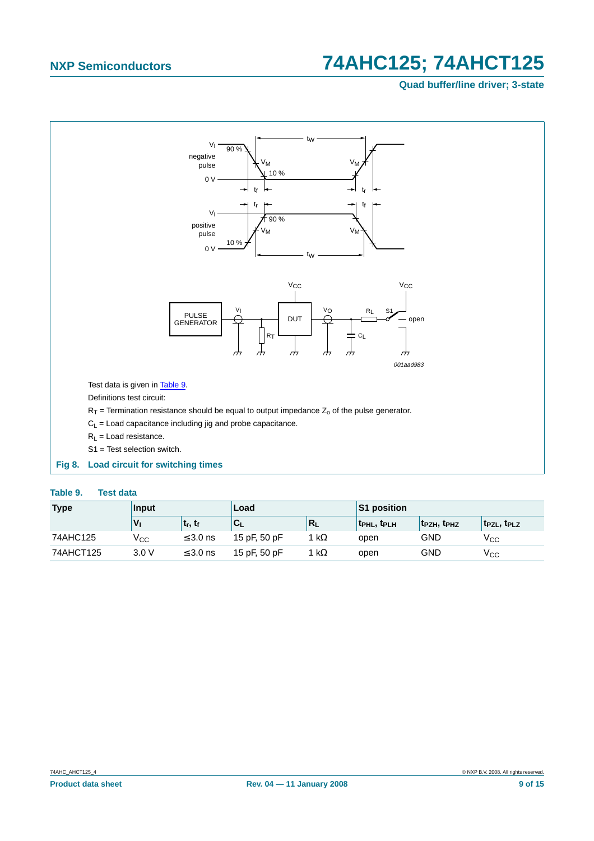## **Quad buffer/line driver; 3-state**



### <span id="page-8-1"></span><span id="page-8-0"></span>**Table 9. Test data**

| <b>Type</b> | <b>Input</b> |                                                | Load                            |              | <b>S1 position</b>                  |                                     |                                     |
|-------------|--------------|------------------------------------------------|---------------------------------|--------------|-------------------------------------|-------------------------------------|-------------------------------------|
|             |              | $\mathbf{t}_\mathsf{r}, \mathbf{t}_\mathsf{f}$ | ${}^{\shortmid}$ C <sub>L</sub> | $R_{I}$      | t <sub>PHL</sub> , t <sub>PLH</sub> | t <sub>PZH</sub> , t <sub>PHZ</sub> | t <sub>PZL</sub> , t <sub>PLZ</sub> |
| 74AHC125    | Vcc          | $\leq$ 3.0 ns                                  | 15 pF, 50 pF                    | 1 k $\Omega$ | open                                | GND                                 | V <sub>CC</sub>                     |
| 74AHCT125   | 3.0V         | $\leq$ 3.0 ns                                  | 15 pF, 50 pF                    | 1 k $\Omega$ | open                                | GND                                 | V <sub>CC</sub>                     |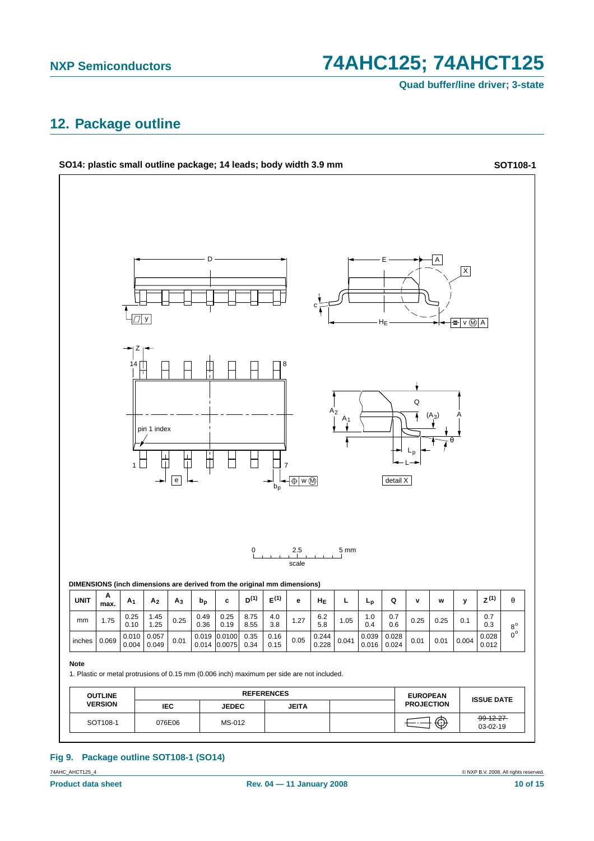**Quad buffer/line driver; 3-state**

# <span id="page-9-0"></span>**12. Package outline**

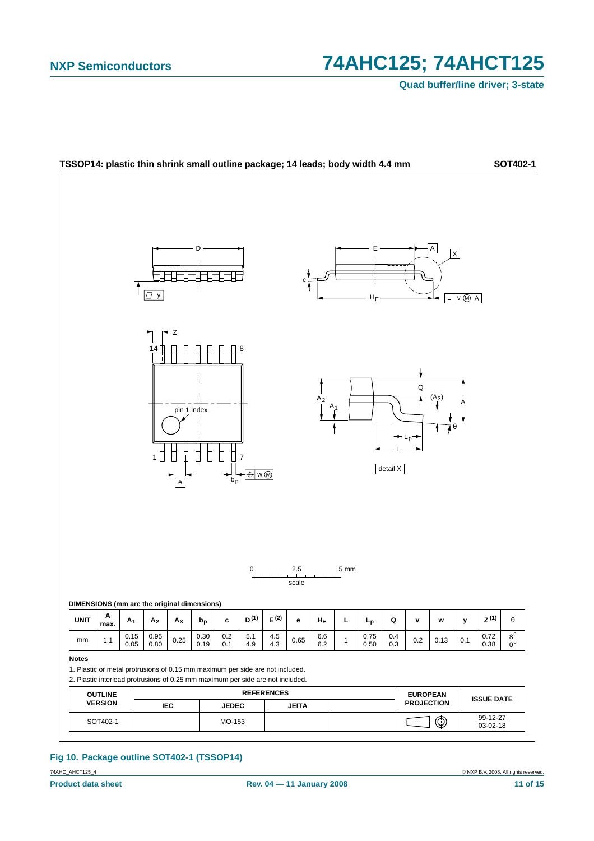**Quad buffer/line driver; 3-state**



#### **Fig 10. Package outline SOT402-1 (TSSOP14)**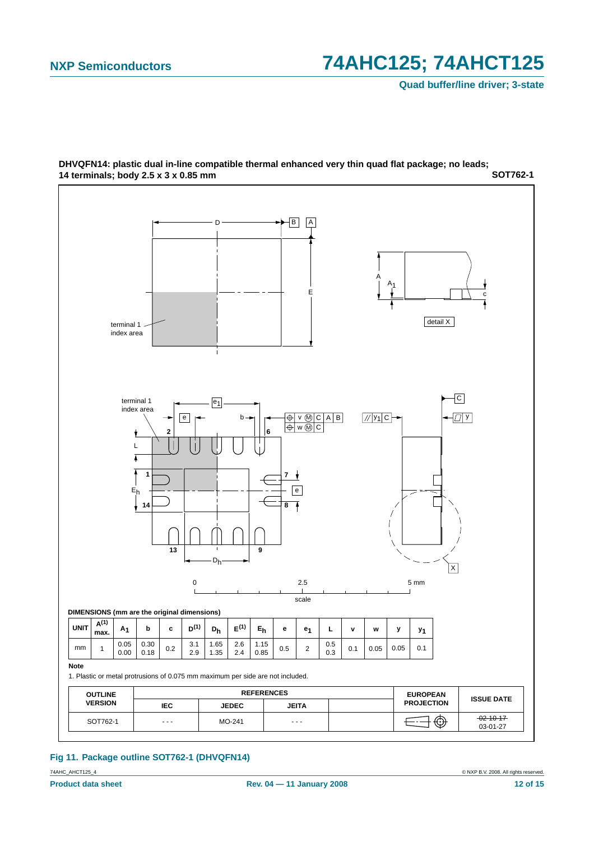

#### **SOT762-1 DHVQFN14: plastic dual in-line compatible thermal enhanced very thin quad flat package; no leads; 14 terminals; body 2.5 x 3 x 0.85 mm**

### **Fig 11. Package outline SOT762-1 (DHVQFN14)**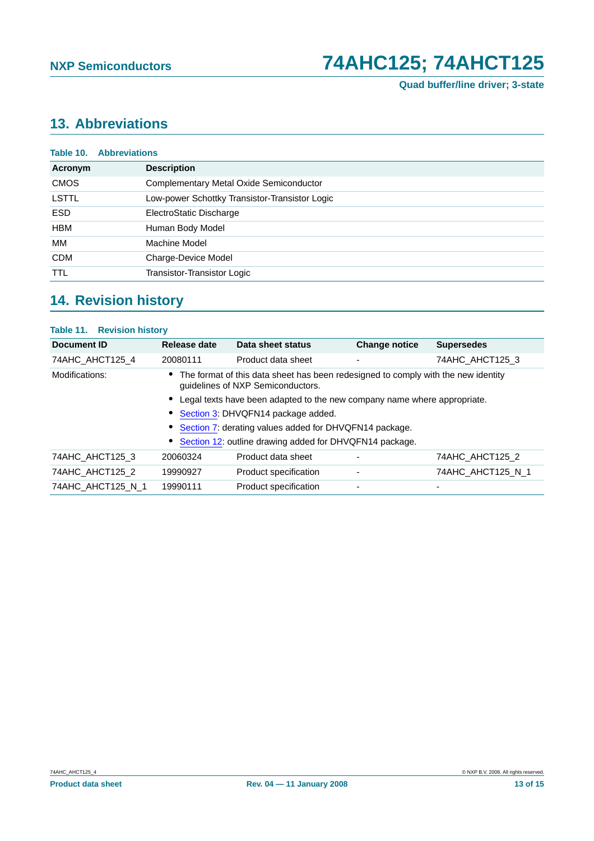# <span id="page-12-0"></span>**13. Abbreviations**

|             | <b>Table 10. Abbreviations</b>                 |  |  |  |
|-------------|------------------------------------------------|--|--|--|
| Acronym     | <b>Description</b>                             |  |  |  |
| <b>CMOS</b> | Complementary Metal Oxide Semiconductor        |  |  |  |
| LSTTL       | Low-power Schottky Transistor-Transistor Logic |  |  |  |
| <b>ESD</b>  | ElectroStatic Discharge                        |  |  |  |
| <b>HBM</b>  | Human Body Model                               |  |  |  |
| MМ          | Machine Model                                  |  |  |  |
| <b>CDM</b>  | Charge-Device Model                            |  |  |  |
| <b>TTL</b>  | Transistor-Transistor Logic                    |  |  |  |

# <span id="page-12-1"></span>**14. Revision history**

## **Table 11. Revision history**

| Document ID       | Release date                                                                                                           | Data sheet status                                                        | <b>Change notice</b>     | <b>Supersedes</b> |  |  |
|-------------------|------------------------------------------------------------------------------------------------------------------------|--------------------------------------------------------------------------|--------------------------|-------------------|--|--|
| 74AHC AHCT125 4   | 20080111                                                                                                               | Product data sheet                                                       |                          | 74AHC AHCT125 3   |  |  |
| Modifications:    | The format of this data sheet has been redesigned to comply with the new identity<br>guidelines of NXP Semiconductors. |                                                                          |                          |                   |  |  |
|                   |                                                                                                                        | Legal texts have been adapted to the new company name where appropriate. |                          |                   |  |  |
|                   | Section 3: DHVQFN14 package added.                                                                                     |                                                                          |                          |                   |  |  |
|                   |                                                                                                                        | Section 7: derating values added for DHVQFN14 package.                   |                          |                   |  |  |
|                   |                                                                                                                        | Section 12: outline drawing added for DHVQFN14 package.                  |                          |                   |  |  |
| 74AHC AHCT125 3   | 20060324                                                                                                               | Product data sheet                                                       |                          | 74AHC AHCT125 2   |  |  |
| 74AHC AHCT125 2   | 19990927                                                                                                               | Product specification                                                    | ٠                        | 74AHC AHCT125 N 1 |  |  |
| 74AHC AHCT125 N 1 | 19990111                                                                                                               | Product specification                                                    | $\overline{\phantom{0}}$ |                   |  |  |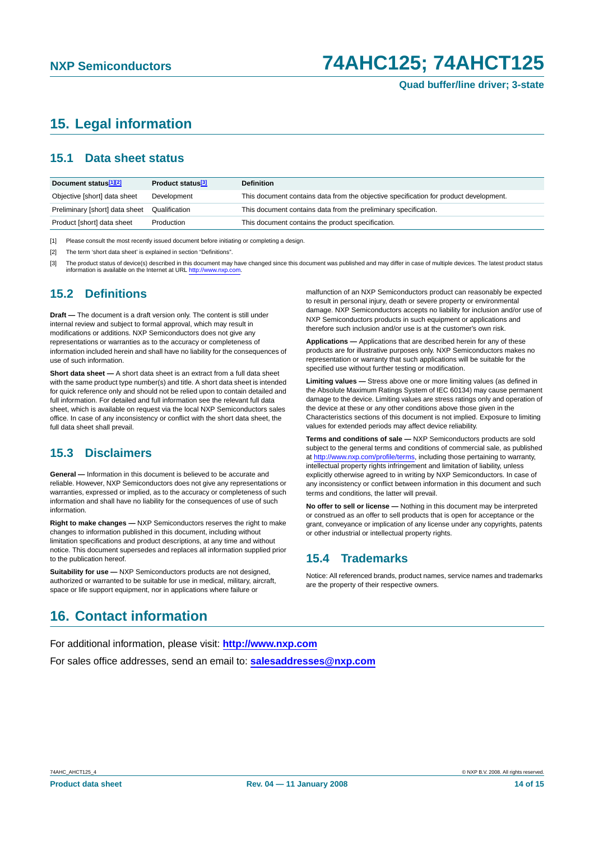# <span id="page-13-0"></span>**15. Legal information**

## <span id="page-13-1"></span>**15.1 Data sheet status**

| Document status <sup>[1][2]</sup>            | Product status <sup>[3]</sup> | <b>Definition</b>                                                                     |
|----------------------------------------------|-------------------------------|---------------------------------------------------------------------------------------|
| Objective [short] data sheet                 | Development                   | This document contains data from the objective specification for product development. |
| Preliminary [short] data sheet Qualification |                               | This document contains data from the preliminary specification.                       |
| Product [short] data sheet                   | Production                    | This document contains the product specification.                                     |

[1] Please consult the most recently issued document before initiating or completing a design.

- [2] The term 'short data sheet' is explained in section "Definitions".
- [3] The product status of device(s) described in this document may have changed since this document was published and may differ in case of multiple devices. The latest product status information is available on the Internet at URL <http://www.nxp.com>.

## <span id="page-13-2"></span>**15.2 Definitions**

**Draft —** The document is a draft version only. The content is still under internal review and subject to formal approval, which may result in modifications or additions. NXP Semiconductors does not give any representations or warranties as to the accuracy or completeness of information included herein and shall have no liability for the consequences of use of such information.

**Short data sheet —** A short data sheet is an extract from a full data sheet with the same product type number(s) and title. A short data sheet is intended for quick reference only and should not be relied upon to contain detailed and full information. For detailed and full information see the relevant full data sheet, which is available on request via the local NXP Semiconductors sales office. In case of any inconsistency or conflict with the short data sheet, the full data sheet shall prevail.

## <span id="page-13-3"></span>**15.3 Disclaimers**

**General —** Information in this document is believed to be accurate and reliable. However, NXP Semiconductors does not give any representations or warranties, expressed or implied, as to the accuracy or completeness of such information and shall have no liability for the consequences of use of such information.

**Right to make changes —** NXP Semiconductors reserves the right to make changes to information published in this document, including without limitation specifications and product descriptions, at any time and without notice. This document supersedes and replaces all information supplied prior to the publication hereof.

**Suitability for use —** NXP Semiconductors products are not designed, authorized or warranted to be suitable for use in medical, military, aircraft, space or life support equipment, nor in applications where failure or

malfunction of an NXP Semiconductors product can reasonably be expected to result in personal injury, death or severe property or environmental damage. NXP Semiconductors accepts no liability for inclusion and/or use of NXP Semiconductors products in such equipment or applications and therefore such inclusion and/or use is at the customer's own risk.

**Applications —** Applications that are described herein for any of these products are for illustrative purposes only. NXP Semiconductors makes no representation or warranty that such applications will be suitable for the specified use without further testing or modification.

**Limiting values —** Stress above one or more limiting values (as defined in the Absolute Maximum Ratings System of IEC 60134) may cause permanent damage to the device. Limiting values are stress ratings only and operation of the device at these or any other conditions above those given in the Characteristics sections of this document is not implied. Exposure to limiting values for extended periods may affect device reliability.

**Terms and conditions of sale —** NXP Semiconductors products are sold subject to the general terms and conditions of commercial sale, as published at <http://www.nxp.com/profile/terms>, including those pertaining to warranty, intellectual property rights infringement and limitation of liability, unless explicitly otherwise agreed to in writing by NXP Semiconductors. In case of any inconsistency or conflict between information in this document and such terms and conditions, the latter will prevail.

**No offer to sell or license —** Nothing in this document may be interpreted or construed as an offer to sell products that is open for acceptance or the grant, conveyance or implication of any license under any copyrights, patents or other industrial or intellectual property rights.

## <span id="page-13-4"></span>**15.4 Trademarks**

Notice: All referenced brands, product names, service names and trademarks are the property of their respective owners.

# <span id="page-13-5"></span>**16. Contact information**

For additional information, please visit: **http://www.nxp.com**

For sales office addresses, send an email to: **salesaddresses@nxp.com**